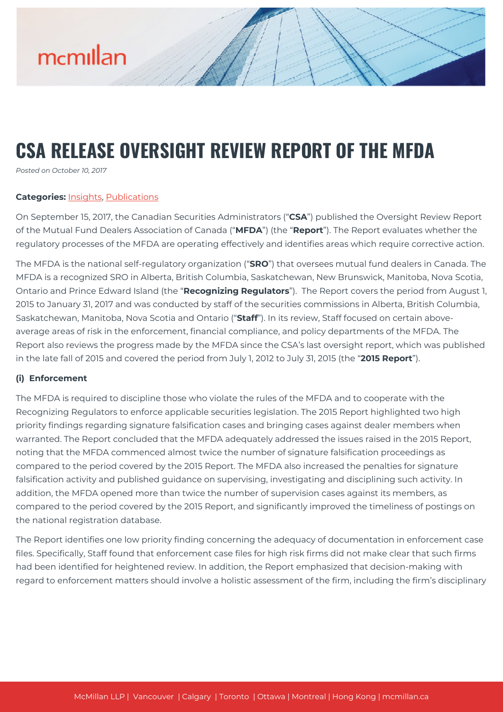

# **CSA RELEASE OVERSIGHT REVIEW REPORT OF THE MFDA**

*Posted on October 10, 2017*

#### **Categories:** [Insights,](https://mcmillan.ca/insights/) [Publications](https://mcmillan.ca/insights/publications/)

On September 15, 2017, the Canadian Securities Administrators ("**CSA**") published the Oversight Review Report of the Mutual Fund Dealers Association of Canada ("**MFDA**") (the "**Report**"). The Report evaluates whether the regulatory processes of the MFDA are operating effectively and identifies areas which require corrective action.

The MFDA is the national self-regulatory organization ("**SRO**") that oversees mutual fund dealers in Canada. The MFDA is a recognized SRO in Alberta, British Columbia, Saskatchewan, New Brunswick, Manitoba, Nova Scotia, Ontario and Prince Edward Island (the "**Recognizing Regulators**"). The Report covers the period from August 1, 2015 to January 31, 2017 and was conducted by staff of the securities commissions in Alberta, British Columbia, Saskatchewan, Manitoba, Nova Scotia and Ontario ("**Staff**"). In its review, Staff focused on certain aboveaverage areas of risk in the enforcement, financial compliance, and policy departments of the MFDA. The Report also reviews the progress made by the MFDA since the CSA's last oversight report, which was published in the late fall of 2015 and covered the period from July 1, 2012 to July 31, 2015 (the "**2015 Report**").

#### **(i) Enforcement**

The MFDA is required to discipline those who violate the rules of the MFDA and to cooperate with the Recognizing Regulators to enforce applicable securities legislation. The 2015 Report highlighted two high priority findings regarding signature falsification cases and bringing cases against dealer members when warranted. The Report concluded that the MFDA adequately addressed the issues raised in the 2015 Report, noting that the MFDA commenced almost twice the number of signature falsification proceedings as compared to the period covered by the 2015 Report. The MFDA also increased the penalties for signature falsification activity and published guidance on supervising, investigating and disciplining such activity. In addition, the MFDA opened more than twice the number of supervision cases against its members, as compared to the period covered by the 2015 Report, and significantly improved the timeliness of postings on the national registration database.

The Report identifies one low priority finding concerning the adequacy of documentation in enforcement case files. Specifically, Staff found that enforcement case files for high risk firms did not make clear that such firms had been identified for heightened review. In addition, the Report emphasized that decision-making with regard to enforcement matters should involve a holistic assessment of the firm, including the firm's disciplinary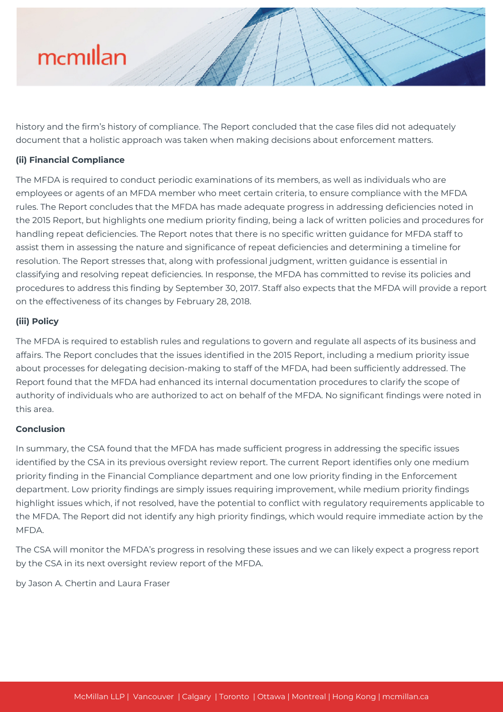# mcmillan

history and the firm's history of compliance. The Report concluded that the case files did not adequately document that a holistic approach was taken when making decisions about enforcement matters.

## **(ii) Financial Compliance**

The MFDA is required to conduct periodic examinations of its members, as well as individuals who are employees or agents of an MFDA member who meet certain criteria, to ensure compliance with the MFDA rules. The Report concludes that the MFDA has made adequate progress in addressing deficiencies noted in the 2015 Report, but highlights one medium priority finding, being a lack of written policies and procedures for handling repeat deficiencies. The Report notes that there is no specific written guidance for MFDA staff to assist them in assessing the nature and significance of repeat deficiencies and determining a timeline for resolution. The Report stresses that, along with professional judgment, written guidance is essential in classifying and resolving repeat deficiencies. In response, the MFDA has committed to revise its policies and procedures to address this finding by September 30, 2017. Staff also expects that the MFDA will provide a report on the effectiveness of its changes by February 28, 2018.

### **(iii) Policy**

The MFDA is required to establish rules and regulations to govern and regulate all aspects of its business and affairs. The Report concludes that the issues identified in the 2015 Report, including a medium priority issue about processes for delegating decision-making to staff of the MFDA, had been sufficiently addressed. The Report found that the MFDA had enhanced its internal documentation procedures to clarify the scope of authority of individuals who are authorized to act on behalf of the MFDA. No significant findings were noted in this area.

### **Conclusion**

In summary, the CSA found that the MFDA has made sufficient progress in addressing the specific issues identified by the CSA in its previous oversight review report. The current Report identifies only one medium priority finding in the Financial Compliance department and one low priority finding in the Enforcement department. Low priority findings are simply issues requiring improvement, while medium priority findings highlight issues which, if not resolved, have the potential to conflict with regulatory requirements applicable to the MFDA. The Report did not identify any high priority findings, which would require immediate action by the **MEDA** 

The CSA will monitor the MFDA's progress in resolving these issues and we can likely expect a progress report by the CSA in its next oversight review report of the MFDA.

by Jason A. Chertin and Laura Fraser